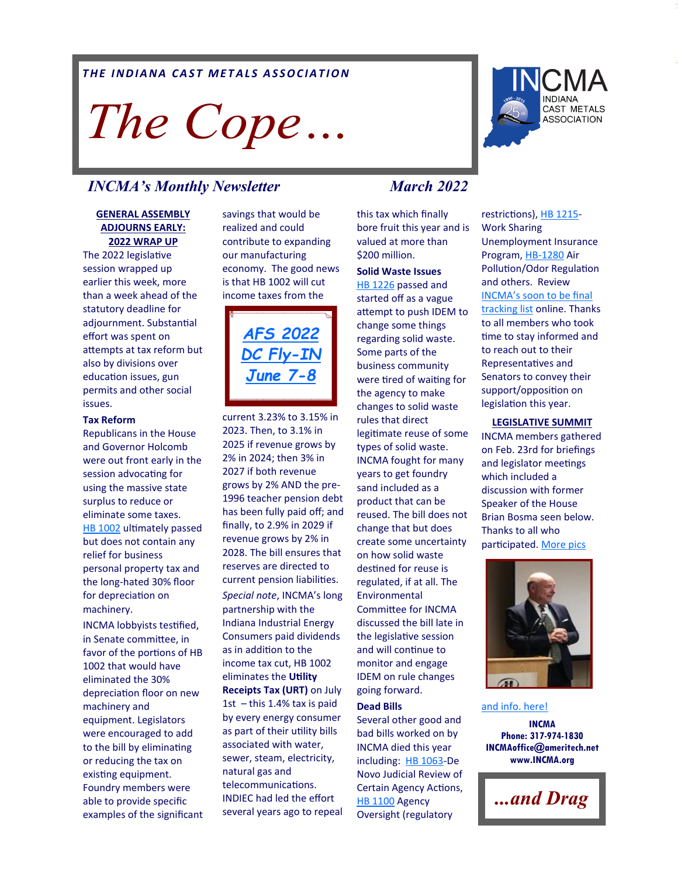### *THE INDIANA CAST METALS ASSOCIATION*

# The Cope...

## *INCMA<sup>'</sup>s Monthly Newsletter March 2022*

#### **GENERAL ASSEMBLY ADJOURNS EARLY: 2022 WRAP UP**

The 2022 legislative session wrapped up earlier this week, more than a week ahead of the statutory deadline for adjournment. Substantial effort was spent on attempts at tax reform but also by divisions over education issues, gun permits and other social issues.

#### **Tax Reform**

Republicans in the House and Governor Holcomb were out front early in the session advocating for using the massive state surplus to reduce or eliminate some taxes. [HB 1002](http://iga.in.gov/legislative/2022/bills/house/1002) ultimately passed but does not contain any relief for business personal property tax and the long-hated 30% floor for depreciation on machinery.

INCMA lobbyists testified, in Senate committee, in favor of the portions of HB 1002 that would have eliminated the 30% depreciation floor on new machinery and equipment. Legislators were encouraged to add to the bill by eliminating or reducing the tax on existing equipment. Foundry members were able to provide specific examples of the significant savings that would be realized and could contribute to expanding our manufacturing economy. The good news is that HB 1002 will cut income taxes from the



current 3.23% to 3.15% in 2023. Then, to 3.1% in 2025 if revenue grows by 2% in 2024; then 3% in 2027 if both revenue grows by 2% AND the pre-1996 teacher pension debt has been fully paid off; and finally, to 2.9% in 2029 if revenue grows by 2% in 2028. The bill ensures that reserves are directed to current pension liabilities. *Special note*, INCMA's long partnership with the Indiana Industrial Energy Consumers paid dividends as in addition to the income tax cut, HB 1002 eliminates the **Utility Receipts Tax (URT)** on July 1st  $-$  this 1.4% tax is paid by every energy consumer as part of their utility bills associated with water, sewer, steam, electricity, natural gas and telecommunications. INDIEC had led the effort several years ago to repeal

this tax which finally bore fruit this year and is valued at more than \$200 million.

**Solid Waste Issues** [HB 1226](http://iga.in.gov/legislative/2022/bills/house/1226) passed and started off as a vague attempt to push IDEM to change some things regarding solid waste. Some parts of the business community were tired of waiting for the agency to make changes to solid waste rules that direct legitimate reuse of some types of solid waste. INCMA fought for many years to get foundry sand included as a product that can be reused. The bill does not change that but does create some uncertainty on how solid waste destined for reuse is regulated, if at all. The Environmental Committee for INCMA discussed the bill late in the legislative session and will continue to monitor and engage IDEM on rule changes going forward.

#### **Dead Bills**

Several other good and bad bills worked on by INCMA died this year including: [HB 1063](http://iga.in.gov/legislative/2022/bills/house/1063)-De Novo Judicial Review of Certain Agency Actions, [HB 1100](http://iga.in.gov/legislative/2022/bills/house/1100) Agency Oversight (regulatory

restrictions), [HB 1215](http://iga.in.gov/legislative/2022/bills/house/1215)-Work Sharing Unemployment Insurance Program, HB-[1280](http://iga.in.gov/legislative/2022/bills/house/1280) Air Pollution/Odor Regulation and others. Review INCMA'[s soon to be final](https://www.incma.org/legislative.html)  [tracking list](https://www.incma.org/legislative.html) online. Thanks to all members who took time to stay informed and to reach out to their Representatives and Senators to convey their support/opposition on legislation this year.

#### **LEGISLATIVE SUMMIT**

INCMA members gathered on Feb. 23rd for briefings and legislator meetings which included a discussion with former Speaker of the House Brian Bosma seen below. Thanks to all who participated. [More pics](https://www.incma.org/2022-legislative-summit.html) 



**INCMA Phone: 317-974-1830 INCMAoffice@ameritech.net www.INCMA.org** [and info. here!](https://www.incma.org/2022-legislative-summit.html)